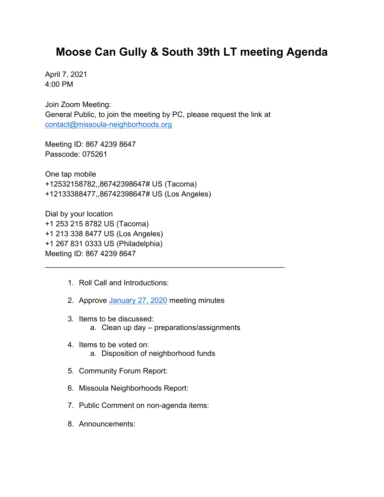## **Moose Can Gully & South 39th LT meeting Agenda**

April 7, 2021 4:00 PM

Join Zoom Meeting: General Public, to join the meeting by PC, please request the link at [contact@missoula-neighborhoods.org](mailto:contact@missoula-neighborhoods.org)

Meeting ID: 867 4239 8647 Passcode: 075261

One tap mobile +12532158782,,86742398647# US (Tacoma) +12133388477,,86742398647# US (Los Angeles)

Dial by your location +1 253 215 8782 US (Tacoma) +1 213 338 8477 US (Los Angeles) +1 267 831 0333 US (Philadelphia) Meeting ID: 867 4239 8647

- 1. Roll Call and Introductions:
- 2. Approve [January 27, 2020](https://www.ci.missoula.mt.us/Archive.aspx?ADID=14901) meeting minutes
- 3. Items to be discussed: a. Clean up day – preparations/assignments

\_\_\_\_\_\_\_\_\_\_\_\_\_\_\_\_\_\_\_\_\_\_\_\_\_\_\_\_\_\_\_\_\_\_\_\_\_\_\_\_\_\_\_\_\_\_\_\_\_\_\_\_\_\_\_\_\_\_\_\_\_\_\_\_

- 4. Items to be voted on: a. Disposition of neighborhood funds
- 5. Community Forum Report:
- 6. Missoula Neighborhoods Report:
- 7. Public Comment on non-agenda items:
- 8. Announcements: